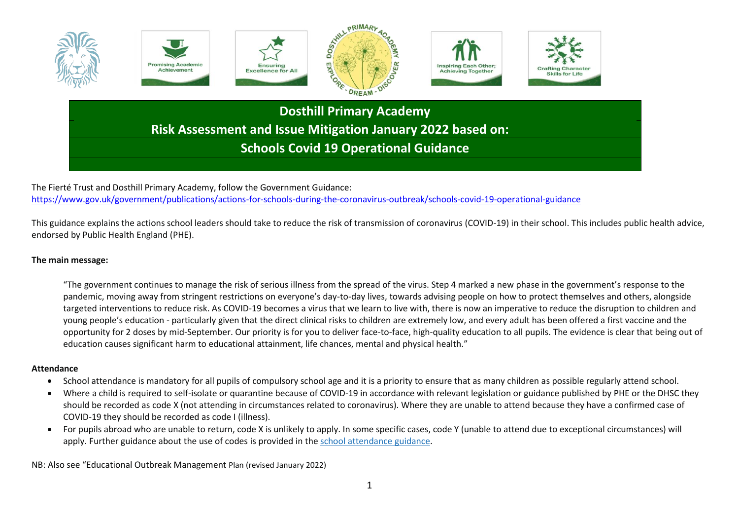

The Fierté Trust and Dosthill Primary Academy, follow the Government Guidance: <https://www.gov.uk/government/publications/actions-for-schools-during-the-coronavirus-outbreak/schools-covid-19-operational-guidance>

This guidance explains the actions school leaders should take to reduce the risk of transmission of coronavirus (COVID-19) in their school. This includes public health advice, endorsed by Public Health England (PHE).

## **The main message:**

"The government continues to manage the risk of serious illness from the spread of the virus. Step 4 marked a new phase in the government's response to the pandemic, moving away from stringent restrictions on everyone's day-to-day lives, towards advising people on how to protect themselves and others, alongside targeted interventions to reduce risk. As COVID-19 becomes a virus that we learn to live with, there is now an imperative to reduce the disruption to children and young people's education - particularly given that the direct clinical risks to children are extremely low, and every adult has been offered a first vaccine and the opportunity for 2 doses by mid-September. Our priority is for you to deliver face-to-face, high-quality education to all pupils. The evidence is clear that being out of education causes significant harm to educational attainment, life chances, mental and physical health."

## **Attendance**

- School attendance is mandatory for all pupils of compulsory school age and it is a priority to ensure that as many children as possible regularly attend school.
- Where a child is required to self-isolate or quarantine because of COVID-19 in accordance with relevant legislation or guidance published by PHE or the DHSC they should be recorded as code X (not attending in circumstances related to coronavirus). Where they are unable to attend because they have a confirmed case of COVID-19 they should be recorded as code I (illness).
- For pupils abroad who are unable to return, code X is unlikely to apply. In some specific cases, code Y (unable to attend due to exceptional circumstances) will apply. Further guidance about the use of codes is provided in the school [attendance](https://www.gov.uk/government/publications/school-attendance) guidance.

NB: Also see "Educational Outbreak Management Plan (revised January 2022)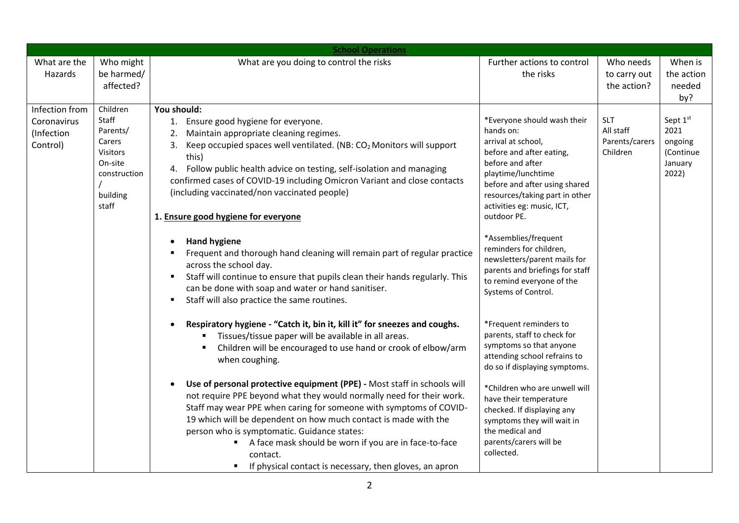| <b>School Operations</b>                                                                                                                                                                                                                                                                                                                                                                                                                                                                                                                                                                                                                                                                                                                                                                                                                                                                                                                                                                                                                                                                                                                                                                                                                                                                                                                                                                                                                                                                                                                                                                                                                 |                                                                                                                                                                                                                                                                                                                                                                                                                                                                                                                                                                                                                                                                                                                                                                       |                                                       |                                                              |  |
|------------------------------------------------------------------------------------------------------------------------------------------------------------------------------------------------------------------------------------------------------------------------------------------------------------------------------------------------------------------------------------------------------------------------------------------------------------------------------------------------------------------------------------------------------------------------------------------------------------------------------------------------------------------------------------------------------------------------------------------------------------------------------------------------------------------------------------------------------------------------------------------------------------------------------------------------------------------------------------------------------------------------------------------------------------------------------------------------------------------------------------------------------------------------------------------------------------------------------------------------------------------------------------------------------------------------------------------------------------------------------------------------------------------------------------------------------------------------------------------------------------------------------------------------------------------------------------------------------------------------------------------|-----------------------------------------------------------------------------------------------------------------------------------------------------------------------------------------------------------------------------------------------------------------------------------------------------------------------------------------------------------------------------------------------------------------------------------------------------------------------------------------------------------------------------------------------------------------------------------------------------------------------------------------------------------------------------------------------------------------------------------------------------------------------|-------------------------------------------------------|--------------------------------------------------------------|--|
| What are you doing to control the risks<br>What are the<br>Who might<br>be harmed/<br>Hazards<br>affected?                                                                                                                                                                                                                                                                                                                                                                                                                                                                                                                                                                                                                                                                                                                                                                                                                                                                                                                                                                                                                                                                                                                                                                                                                                                                                                                                                                                                                                                                                                                               | Further actions to control<br>the risks                                                                                                                                                                                                                                                                                                                                                                                                                                                                                                                                                                                                                                                                                                                               | Who needs<br>to carry out<br>the action?              | When is<br>the action<br>needed<br>by?                       |  |
| Infection from<br>Children<br>You should:<br>Staff<br>1. Ensure good hygiene for everyone.<br>Coronavirus<br>Parents/<br>Maintain appropriate cleaning regimes.<br>(Infection<br>Carers<br>Keep occupied spaces well ventilated. (NB: CO <sub>2</sub> Monitors will support<br>Control)<br>3.<br>Visitors<br>this)<br>On-site<br>4. Follow public health advice on testing, self-isolation and managing<br>construction<br>confirmed cases of COVID-19 including Omicron Variant and close contacts<br>(including vaccinated/non vaccinated people)<br>building<br>staff<br>1. Ensure good hygiene for everyone<br><b>Hand hygiene</b><br>Frequent and thorough hand cleaning will remain part of regular practice<br>across the school day.<br>Staff will continue to ensure that pupils clean their hands regularly. This<br>can be done with soap and water or hand sanitiser.<br>Staff will also practice the same routines.<br>Respiratory hygiene - "Catch it, bin it, kill it" for sneezes and coughs.<br>Tissues/tissue paper will be available in all areas.<br>Children will be encouraged to use hand or crook of elbow/arm<br>when coughing.<br>Use of personal protective equipment (PPE) - Most staff in schools will<br>not require PPE beyond what they would normally need for their work.<br>Staff may wear PPE when caring for someone with symptoms of COVID-<br>19 which will be dependent on how much contact is made with the<br>person who is symptomatic. Guidance states:<br>A face mask should be worn if you are in face-to-face<br>contact.<br>If physical contact is necessary, then gloves, an apron<br>٠ | *Everyone should wash their<br>hands on:<br>arrival at school,<br>before and after eating,<br>before and after<br>playtime/lunchtime<br>before and after using shared<br>resources/taking part in other<br>activities eg: music, ICT,<br>outdoor PE.<br>*Assemblies/frequent<br>reminders for children,<br>newsletters/parent mails for<br>parents and briefings for staff<br>to remind everyone of the<br>Systems of Control.<br>*Frequent reminders to<br>parents, staff to check for<br>symptoms so that anyone<br>attending school refrains to<br>do so if displaying symptoms.<br>*Children who are unwell will<br>have their temperature<br>checked. If displaying any<br>symptoms they will wait in<br>the medical and<br>parents/carers will be<br>collected. | <b>SLT</b><br>All staff<br>Parents/carers<br>Children | Sept 1st<br>2021<br>ongoing<br>(Continue<br>January<br>2022) |  |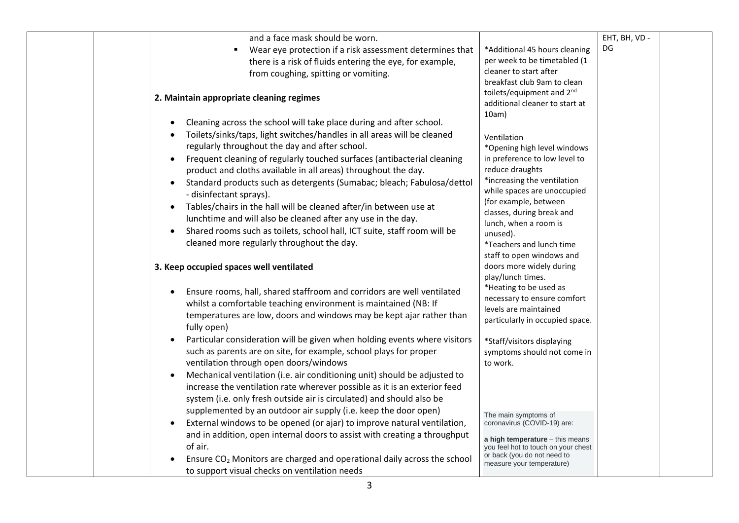| and a face mask should be worn.                                                                                                                                                                                                                                                                                                                                                                                                                                              |                                                                                                                                                                       | EHT, BH, VD - |  |
|------------------------------------------------------------------------------------------------------------------------------------------------------------------------------------------------------------------------------------------------------------------------------------------------------------------------------------------------------------------------------------------------------------------------------------------------------------------------------|-----------------------------------------------------------------------------------------------------------------------------------------------------------------------|---------------|--|
| Wear eye protection if a risk assessment determines that<br>$\blacksquare$                                                                                                                                                                                                                                                                                                                                                                                                   | *Additional 45 hours cleaning                                                                                                                                         | DG            |  |
| there is a risk of fluids entering the eye, for example,                                                                                                                                                                                                                                                                                                                                                                                                                     | per week to be timetabled (1                                                                                                                                          |               |  |
| from coughing, spitting or vomiting.                                                                                                                                                                                                                                                                                                                                                                                                                                         | cleaner to start after                                                                                                                                                |               |  |
| 2. Maintain appropriate cleaning regimes                                                                                                                                                                                                                                                                                                                                                                                                                                     | breakfast club 9am to clean<br>toilets/equipment and 2 <sup>nd</sup><br>additional cleaner to start at                                                                |               |  |
| Cleaning across the school will take place during and after school.<br>Toilets/sinks/taps, light switches/handles in all areas will be cleaned<br>regularly throughout the day and after school.<br>Frequent cleaning of regularly touched surfaces (antibacterial cleaning<br>$\bullet$<br>product and cloths available in all areas) throughout the day.<br>Standard products such as detergents (Sumabac; bleach; Fabulosa/dettol<br>$\bullet$<br>- disinfectant sprays). | 10am)<br>Ventilation<br>*Opening high level windows<br>in preference to low level to<br>reduce draughts<br>*increasing the ventilation<br>while spaces are unoccupied |               |  |
| Tables/chairs in the hall will be cleaned after/in between use at<br>$\bullet$<br>lunchtime and will also be cleaned after any use in the day.<br>Shared rooms such as toilets, school hall, ICT suite, staff room will be<br>$\bullet$<br>cleaned more regularly throughout the day.                                                                                                                                                                                        | (for example, between<br>classes, during break and<br>lunch, when a room is<br>unused).<br>*Teachers and lunch time<br>staff to open windows and                      |               |  |
| 3. Keep occupied spaces well ventilated                                                                                                                                                                                                                                                                                                                                                                                                                                      | doors more widely during<br>play/lunch times.                                                                                                                         |               |  |
| Ensure rooms, hall, shared staffroom and corridors are well ventilated<br>whilst a comfortable teaching environment is maintained (NB: If<br>temperatures are low, doors and windows may be kept ajar rather than<br>fully open)                                                                                                                                                                                                                                             | *Heating to be used as<br>necessary to ensure comfort<br>levels are maintained<br>particularly in occupied space.                                                     |               |  |
| Particular consideration will be given when holding events where visitors<br>such as parents are on site, for example, school plays for proper<br>ventilation through open doors/windows                                                                                                                                                                                                                                                                                     | *Staff/visitors displaying<br>symptoms should not come in<br>to work.                                                                                                 |               |  |
| Mechanical ventilation (i.e. air conditioning unit) should be adjusted to<br>increase the ventilation rate wherever possible as it is an exterior feed<br>system (i.e. only fresh outside air is circulated) and should also be<br>supplemented by an outdoor air supply (i.e. keep the door open)                                                                                                                                                                           |                                                                                                                                                                       |               |  |
| External windows to be opened (or ajar) to improve natural ventilation,<br>and in addition, open internal doors to assist with creating a throughput                                                                                                                                                                                                                                                                                                                         | The main symptoms of<br>coronavirus (COVID-19) are:<br>a high temperature - this means                                                                                |               |  |
| of air.<br>Ensure CO <sub>2</sub> Monitors are charged and operational daily across the school<br>to support visual checks on ventilation needs                                                                                                                                                                                                                                                                                                                              | you feel hot to touch on your chest<br>or back (you do not need to<br>measure your temperature)                                                                       |               |  |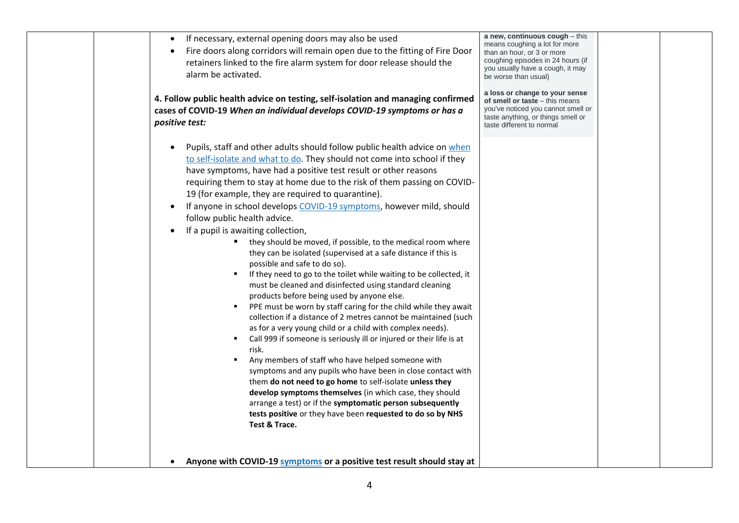| If necessary, external opening doors may also be used<br>Fire doors along corridors will remain open due to the fitting of Fire Door<br>retainers linked to the fire alarm system for door release should the<br>alarm be activated.                                                                                                                                                                                                                                                                                                                                                                                                                                                                                                                                                                                                                                                                                                                                                                                                                                                                                                                                                                                                                                                                                                                                                                                                                                                                                                            | a new, continuous cough $-$ this<br>means coughing a lot for more<br>than an hour, or 3 or more<br>coughing episodes in 24 hours (if<br>you usually have a cough, it may<br>be worse than usual) |  |
|-------------------------------------------------------------------------------------------------------------------------------------------------------------------------------------------------------------------------------------------------------------------------------------------------------------------------------------------------------------------------------------------------------------------------------------------------------------------------------------------------------------------------------------------------------------------------------------------------------------------------------------------------------------------------------------------------------------------------------------------------------------------------------------------------------------------------------------------------------------------------------------------------------------------------------------------------------------------------------------------------------------------------------------------------------------------------------------------------------------------------------------------------------------------------------------------------------------------------------------------------------------------------------------------------------------------------------------------------------------------------------------------------------------------------------------------------------------------------------------------------------------------------------------------------|--------------------------------------------------------------------------------------------------------------------------------------------------------------------------------------------------|--|
| 4. Follow public health advice on testing, self-isolation and managing confirmed<br>cases of COVID-19 When an individual develops COVID-19 symptoms or has a<br>positive test:                                                                                                                                                                                                                                                                                                                                                                                                                                                                                                                                                                                                                                                                                                                                                                                                                                                                                                                                                                                                                                                                                                                                                                                                                                                                                                                                                                  | a loss or change to your sense<br>of smell or taste - this means<br>you've noticed you cannot smell or<br>taste anything, or things smell or<br>taste different to normal                        |  |
| Pupils, staff and other adults should follow public health advice on when<br>$\bullet$<br>to self-isolate and what to do. They should not come into school if they<br>have symptoms, have had a positive test result or other reasons<br>requiring them to stay at home due to the risk of them passing on COVID-<br>19 (for example, they are required to quarantine).<br>If anyone in school develops COVID-19 symptoms, however mild, should<br>follow public health advice.<br>If a pupil is awaiting collection,<br>they should be moved, if possible, to the medical room where<br>they can be isolated (supervised at a safe distance if this is<br>possible and safe to do so).<br>If they need to go to the toilet while waiting to be collected, it<br>must be cleaned and disinfected using standard cleaning<br>products before being used by anyone else.<br>PPE must be worn by staff caring for the child while they await<br>collection if a distance of 2 metres cannot be maintained (such<br>as for a very young child or a child with complex needs).<br>Call 999 if someone is seriously ill or injured or their life is at<br>risk.<br>Any members of staff who have helped someone with<br>symptoms and any pupils who have been in close contact with<br>them do not need to go home to self-isolate unless they<br>develop symptoms themselves (in which case, they should<br>arrange a test) or if the symptomatic person subsequently<br>tests positive or they have been requested to do so by NHS<br>Test & Trace. |                                                                                                                                                                                                  |  |
| Anyone with COVID-19 symptoms or a positive test result should stay at                                                                                                                                                                                                                                                                                                                                                                                                                                                                                                                                                                                                                                                                                                                                                                                                                                                                                                                                                                                                                                                                                                                                                                                                                                                                                                                                                                                                                                                                          |                                                                                                                                                                                                  |  |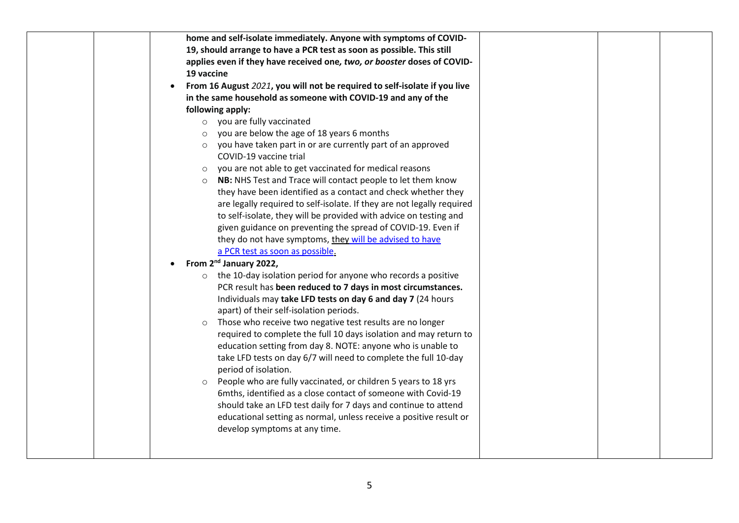| home and self-isolate immediately. Anyone with symptoms of COVID-         |  |
|---------------------------------------------------------------------------|--|
| 19, should arrange to have a PCR test as soon as possible. This still     |  |
| applies even if they have received one, two, or booster doses of COVID-   |  |
| 19 vaccine                                                                |  |
| From 16 August 2021, you will not be required to self-isolate if you live |  |
| in the same household as someone with COVID-19 and any of the             |  |
| following apply:                                                          |  |
| o you are fully vaccinated                                                |  |
| you are below the age of 18 years 6 months<br>$\circ$                     |  |
| you have taken part in or are currently part of an approved<br>$\circ$    |  |
| COVID-19 vaccine trial                                                    |  |
| you are not able to get vaccinated for medical reasons<br>$\circ$         |  |
| o NB: NHS Test and Trace will contact people to let them know             |  |
| they have been identified as a contact and check whether they             |  |
| are legally required to self-isolate. If they are not legally required    |  |
| to self-isolate, they will be provided with advice on testing and         |  |
| given guidance on preventing the spread of COVID-19. Even if              |  |
| they do not have symptoms, they will be advised to have                   |  |
| a PCR test as soon as possible.                                           |  |
| From 2 <sup>nd</sup> January 2022,                                        |  |
| the 10-day isolation period for anyone who records a positive<br>$\circ$  |  |
| PCR result has been reduced to 7 days in most circumstances.              |  |
| Individuals may take LFD tests on day 6 and day 7 (24 hours               |  |
| apart) of their self-isolation periods.                                   |  |
| Those who receive two negative test results are no longer<br>$\circ$      |  |
| required to complete the full 10 days isolation and may return to         |  |
| education setting from day 8. NOTE: anyone who is unable to               |  |
| take LFD tests on day 6/7 will need to complete the full 10-day           |  |
| period of isolation.                                                      |  |
| People who are fully vaccinated, or children 5 years to 18 yrs<br>$\circ$ |  |
| 6mths, identified as a close contact of someone with Covid-19             |  |
| should take an LFD test daily for 7 days and continue to attend           |  |
| educational setting as normal, unless receive a positive result or        |  |
| develop symptoms at any time.                                             |  |
|                                                                           |  |
|                                                                           |  |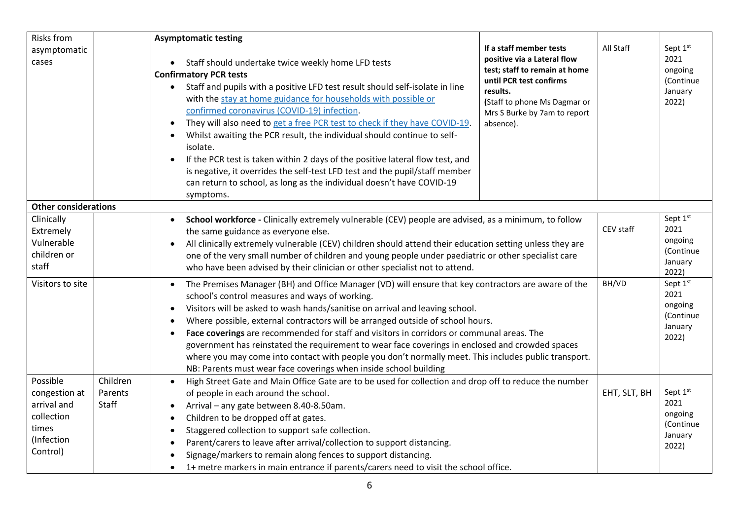| <b>Risks from</b>           |          | <b>Asymptomatic testing</b>                                                                                                                                                                  |                                                              |              |                      |
|-----------------------------|----------|----------------------------------------------------------------------------------------------------------------------------------------------------------------------------------------------|--------------------------------------------------------------|--------------|----------------------|
| asymptomatic                |          |                                                                                                                                                                                              | If a staff member tests                                      | All Staff    | Sept 1st             |
| cases                       |          | • Staff should undertake twice weekly home LFD tests                                                                                                                                         | positive via a Lateral flow<br>test; staff to remain at home |              | 2021<br>ongoing      |
|                             |          | <b>Confirmatory PCR tests</b>                                                                                                                                                                | until PCR test confirms                                      |              | (Continue            |
|                             |          | Staff and pupils with a positive LFD test result should self-isolate in line<br>$\bullet$<br>with the stay at home guidance for households with possible or                                  | results.                                                     |              | January              |
|                             |          | confirmed coronavirus (COVID-19) infection.                                                                                                                                                  | (Staff to phone Ms Dagmar or<br>Mrs S Burke by 7am to report |              | 2022)                |
|                             |          | They will also need to get a free PCR test to check if they have COVID-19.                                                                                                                   | absence).                                                    |              |                      |
|                             |          | Whilst awaiting the PCR result, the individual should continue to self-                                                                                                                      |                                                              |              |                      |
|                             |          | isolate.                                                                                                                                                                                     |                                                              |              |                      |
|                             |          | If the PCR test is taken within 2 days of the positive lateral flow test, and                                                                                                                |                                                              |              |                      |
|                             |          | is negative, it overrides the self-test LFD test and the pupil/staff member                                                                                                                  |                                                              |              |                      |
|                             |          | can return to school, as long as the individual doesn't have COVID-19                                                                                                                        |                                                              |              |                      |
| <b>Other considerations</b> |          | symptoms.                                                                                                                                                                                    |                                                              |              |                      |
| Clinically                  |          | School workforce - Clinically extremely vulnerable (CEV) people are advised, as a minimum, to follow                                                                                         |                                                              |              | Sept 1st             |
| Extremely                   |          | the same guidance as everyone else.                                                                                                                                                          |                                                              | CEV staff    | 2021                 |
| Vulnerable                  |          | All clinically extremely vulnerable (CEV) children should attend their education setting unless they are                                                                                     |                                                              |              | ongoing              |
| children or                 |          | one of the very small number of children and young people under paediatric or other specialist care                                                                                          |                                                              |              | (Continue<br>January |
| staff                       |          | who have been advised by their clinician or other specialist not to attend.                                                                                                                  |                                                              |              | 2022)                |
| Visitors to site            |          | The Premises Manager (BH) and Office Manager (VD) will ensure that key contractors are aware of the                                                                                          |                                                              | BH/VD        | Sept 1st             |
|                             |          | school's control measures and ways of working.                                                                                                                                               |                                                              |              | 2021<br>ongoing      |
|                             |          | Visitors will be asked to wash hands/sanitise on arrival and leaving school.                                                                                                                 |                                                              |              | (Continue            |
|                             |          | Where possible, external contractors will be arranged outside of school hours.                                                                                                               |                                                              |              | January              |
|                             |          | Face coverings are recommended for staff and visitors in corridors or communal areas. The<br>government has reinstated the requirement to wear face coverings in enclosed and crowded spaces |                                                              |              | 2022)                |
|                             |          | where you may come into contact with people you don't normally meet. This includes public transport.                                                                                         |                                                              |              |                      |
|                             |          | NB: Parents must wear face coverings when inside school building                                                                                                                             |                                                              |              |                      |
| Possible                    | Children | High Street Gate and Main Office Gate are to be used for collection and drop off to reduce the number                                                                                        |                                                              |              |                      |
| congestion at               | Parents  | of people in each around the school.                                                                                                                                                         |                                                              | EHT, SLT, BH | Sept 1st             |
| arrival and                 | Staff    | Arrival - any gate between 8.40-8.50am.                                                                                                                                                      |                                                              |              | 2021                 |
| collection                  |          | Children to be dropped off at gates.                                                                                                                                                         |                                                              |              | ongoing<br>(Continue |
| times<br>(Infection         |          | Staggered collection to support safe collection.                                                                                                                                             |                                                              |              | January              |
| Control)                    |          | Parent/carers to leave after arrival/collection to support distancing.                                                                                                                       |                                                              |              | 2022)                |
|                             |          | Signage/markers to remain along fences to support distancing.                                                                                                                                |                                                              |              |                      |
|                             |          | 1+ metre markers in main entrance if parents/carers need to visit the school office.<br>$\bullet$                                                                                            |                                                              |              |                      |